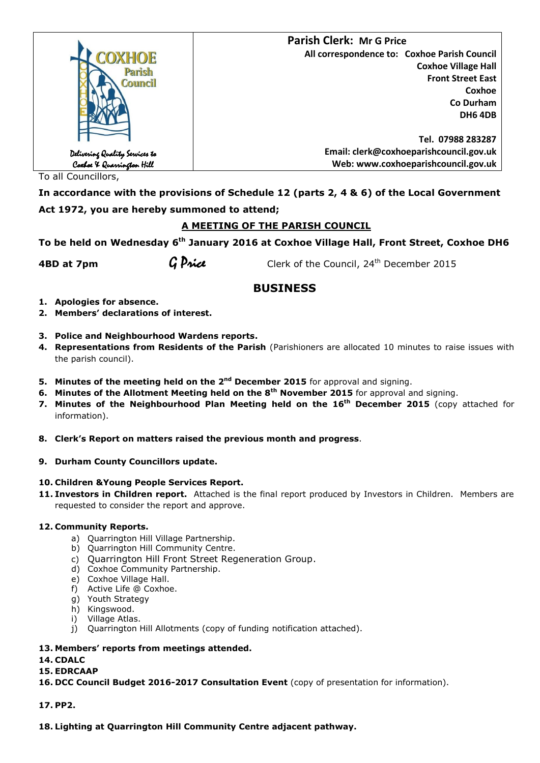|                                                             | <b>Parish Clerk: Mr G Price</b>              |
|-------------------------------------------------------------|----------------------------------------------|
| <b>COXHOE</b>                                               | All correspondence to: Coxhoe Parish Council |
| Parish                                                      | <b>Coxhoe Village Hall</b>                   |
| <b>Council</b>                                              | <b>Front Street East</b>                     |
|                                                             | Coxhoe                                       |
|                                                             | Co Durham                                    |
|                                                             | DH6 4DB                                      |
|                                                             |                                              |
|                                                             | Tel. 07988 283287                            |
|                                                             | Email: clerk@coxhoeparishcouncil.gov.uk      |
| Delivering Quality Services to<br>Coxboe X Quarrington Hill | Web: www.coxhoeparishcouncil.gov.uk          |

To all Councillors,

**In accordance with the provisions of Schedule 12 (parts 2, 4 & 6) of the Local Government Act 1972, you are hereby summoned to attend;**

## **A MEETING OF THE PARISH COUNCIL**

**To be held on Wednesday 6 th January 2016 at Coxhoe Village Hall, Front Street, Coxhoe DH6** 

**4BD at 7pm G Price** Clerk of the Council, 24<sup>th</sup> December 2015

# **BUSINESS**

- **1. Apologies for absence.**
- **2. Members' declarations of interest.**
- **3. Police and Neighbourhood Wardens reports.**
- **4. Representations from Residents of the Parish** (Parishioners are allocated 10 minutes to raise issues with the parish council).
- **5. Minutes of the meeting held on the 2<sup>nd</sup> December 2015** for approval and signing.
- **6. Minutes of the Allotment Meeting held on the 8th November 2015** for approval and signing.
- **7. Minutes of the Neighbourhood Plan Meeting held on the 16th December 2015** (copy attached for information).
- **8. Clerk's Report on matters raised the previous month and progress**.
- **9. Durham County Councillors update.**

#### **10. Children &Young People Services Report.**

**11. Investors in Children report.** Attached is the final report produced by Investors in Children. Members are requested to consider the report and approve.

### **12. Community Reports.**

- a) Quarrington Hill Village Partnership.
- b) Quarrington Hill Community Centre.
- c) Quarrington Hill Front Street Regeneration Group.
- d) Coxhoe Community Partnership.
- e) Coxhoe Village Hall.
- f) Active Life @ Coxhoe.
- g) Youth Strategy
- h) Kingswood.
- i) Village Atlas.
- j) Quarrington Hill Allotments (copy of funding notification attached).

## **13. Members' reports from meetings attended.**

**14. CDALC**

#### **15. EDRCAAP**

- **16. DCC Council Budget 2016-2017 Consultation Event** (copy of presentation for information).
- **17. PP2.**

#### **18. Lighting at Quarrington Hill Community Centre adjacent pathway.**